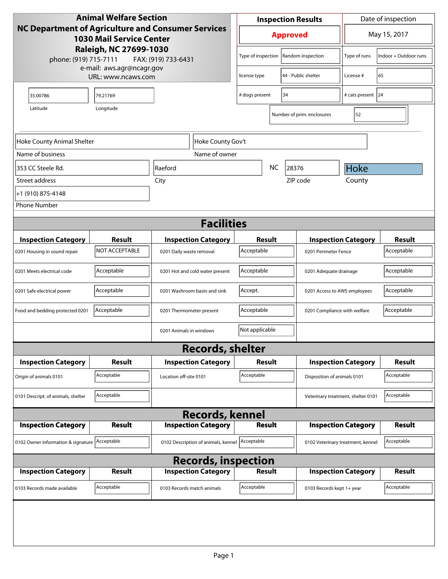| <b>Animal Welfare Section</b>                                                                |                |                                                |                 | <b>Inspection Results</b>            |                             |                              | Date of inspection                                 |                                    |                       |
|----------------------------------------------------------------------------------------------|----------------|------------------------------------------------|-----------------|--------------------------------------|-----------------------------|------------------------------|----------------------------------------------------|------------------------------------|-----------------------|
| <b>NC Department of Agriculture and Consumer Services</b><br><b>1030 Mail Service Center</b> |                |                                                | <b>Approved</b> |                                      |                             | May 15, 2017                 |                                                    |                                    |                       |
| Raleigh, NC 27699-1030<br>phone: (919) 715-7111<br>FAX: (919) 733-6431                       |                |                                                |                 | Type of inspection                   |                             | Random inspection            |                                                    | Type of runs                       | Indoor + Outdoor runs |
| e-mail: aws.agr@ncagr.gov<br>URL: www.ncaws.com                                              |                |                                                |                 | license type                         | 44 - Public shelter         |                              |                                                    | License #                          | 65                    |
| 35.00786                                                                                     | 79.21769       |                                                |                 | # dogs present<br>34                 |                             |                              |                                                    | # cats present 24                  |                       |
| Longitude<br>Latitude                                                                        |                |                                                |                 |                                      |                             | Number of prim. enclosures   |                                                    | 52                                 |                       |
| Hoke County Gov't<br>Hoke County Animal Shelter                                              |                |                                                |                 |                                      |                             |                              |                                                    |                                    |                       |
| Name of business                                                                             |                | Name of owner                                  |                 |                                      |                             |                              |                                                    |                                    |                       |
| 353 CC Steele Rd.                                                                            |                | Raeford                                        |                 |                                      | <b>NC</b>                   | 28376                        |                                                    | <b>Hoke</b>                        |                       |
| Street address                                                                               |                | City                                           |                 | ZIP code                             |                             |                              | County                                             |                                    |                       |
| +1 (910) 875-4148                                                                            |                |                                                |                 |                                      |                             |                              |                                                    |                                    |                       |
| <b>Phone Number</b>                                                                          |                |                                                |                 |                                      |                             |                              |                                                    |                                    |                       |
| <b>Facilities</b>                                                                            |                |                                                |                 |                                      |                             |                              |                                                    |                                    |                       |
| <b>Inspection Category</b>                                                                   | Result         | <b>Inspection Category</b>                     |                 |                                      | Result                      |                              |                                                    |                                    | <b>Result</b>         |
| 0201 Housing in sound repair                                                                 | NOT ACCEPTABLE | 0201 Daily waste removal                       |                 | Acceptable                           |                             |                              | <b>Inspection Category</b><br>0201 Perimeter Fence |                                    | Acceptable            |
| 0201 Meets electrical code                                                                   | Acceptable     | 0201 Hot and cold water present                |                 | Acceptable<br>0201 Adequate drainage |                             |                              | Acceptable                                         |                                    |                       |
| 0201 Safe electrical power                                                                   | Acceptable     | 0201 Washroom basin and sink                   |                 | Accept.                              |                             |                              | 0201 Access to AWS employees                       |                                    | Acceptable            |
| Food and bedding protected 0201                                                              | Acceptable     | 0201 Thermometer present                       |                 | Acceptable                           |                             | 0201 Compliance with welfare |                                                    | Acceptable                         |                       |
|                                                                                              |                | 0201 Animals in windows                        |                 | Not applicable                       |                             |                              |                                                    |                                    |                       |
|                                                                                              |                | <b>Records, shelter</b>                        |                 |                                      |                             |                              |                                                    |                                    |                       |
| <b>Inspection Category</b>                                                                   | Result         | <b>Inspection Category</b>                     |                 | <b>Inspection Category</b><br>Result |                             |                              | Result                                             |                                    |                       |
| Origin of animals 0101                                                                       | Acceptable     | Location off-site 0101                         |                 | Acceptable                           | Disposition of animals 0101 |                              |                                                    | Acceptable                         |                       |
| 0101 Descript. of animals, shelter                                                           | Acceptable     |                                                |                 |                                      |                             |                              |                                                    | Veterinary treatment, shelter 0101 | Acceptable            |
| <b>Records, kennel</b>                                                                       |                |                                                |                 |                                      |                             |                              |                                                    |                                    |                       |
| <b>Inspection Category</b>                                                                   | <b>Result</b>  | <b>Inspection Category</b>                     |                 |                                      | <b>Result</b>               |                              |                                                    | <b>Inspection Category</b>         | <b>Result</b>         |
| 0102 Owner information & signature Acceptable                                                |                | 0102 Description of animals, kennel Acceptable |                 |                                      |                             |                              |                                                    | 0102 Veterinary treatment, kennel  | Acceptable            |
| <b>Records, inspection</b>                                                                   |                |                                                |                 |                                      |                             |                              |                                                    |                                    |                       |
| <b>Inspection Category</b>                                                                   | <b>Result</b>  | <b>Inspection Category</b>                     |                 |                                      | <b>Result</b>               |                              |                                                    | <b>Inspection Category</b>         | <b>Result</b>         |
| 0103 Records made available                                                                  | Acceptable     | 0103 Records match animals                     |                 | Acceptable                           |                             |                              |                                                    | 0103 Records kept 1+ year          | Acceptable            |
|                                                                                              |                |                                                |                 |                                      |                             |                              |                                                    |                                    |                       |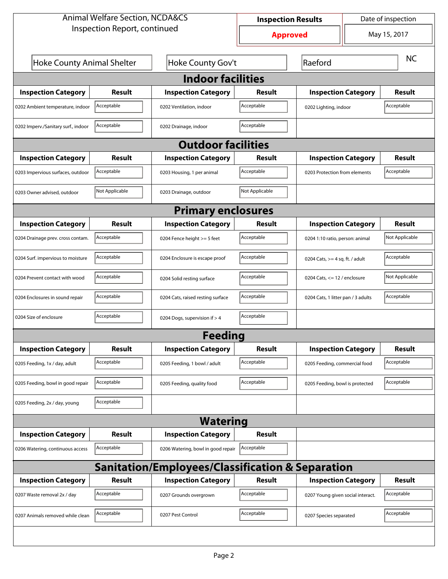| <b>Animal Welfare Section, NCDA&amp;CS</b>       |                           |                                    | <b>Inspection Results</b> | Date of inspection              |                                    |               |  |  |  |  |
|--------------------------------------------------|---------------------------|------------------------------------|---------------------------|---------------------------------|------------------------------------|---------------|--|--|--|--|
| Inspection Report, continued                     |                           |                                    | <b>Approved</b>           | May 15, 2017                    |                                    |               |  |  |  |  |
| Hoke County Animal Shelter                       |                           | Hoke County Gov't                  |                           | Raeford                         |                                    |               |  |  |  |  |
| <b>Indoor facilities</b>                         |                           |                                    |                           |                                 |                                    |               |  |  |  |  |
| <b>Inspection Category</b>                       | Result                    | <b>Inspection Category</b>         | Result                    |                                 | <b>Inspection Category</b>         |               |  |  |  |  |
| 0202 Ambient temperature, indoor                 | Acceptable                | 0202 Ventilation, indoor           | Acceptable                | 0202 Lighting, indoor           | Acceptable                         |               |  |  |  |  |
| 0202 Imperv./Sanitary surf., indoor              | Acceptable                | 0202 Drainage, indoor              | Acceptable                |                                 |                                    |               |  |  |  |  |
|                                                  | <b>Outdoor facilities</b> |                                    |                           |                                 |                                    |               |  |  |  |  |
| <b>Inspection Category</b>                       | Result                    | <b>Inspection Category</b>         | Result                    | <b>Inspection Category</b>      |                                    | Result        |  |  |  |  |
| 0203 Impervious surfaces, outdoor                | Acceptable                | 0203 Housing, 1 per animal         | Acceptable                |                                 | 0203 Protection from elements      |               |  |  |  |  |
| 0203 Owner advised, outdoor                      | Not Applicable            | 0203 Drainage, outdoor             | Not Applicable            |                                 |                                    |               |  |  |  |  |
| <b>Primary enclosures</b>                        |                           |                                    |                           |                                 |                                    |               |  |  |  |  |
| <b>Inspection Category</b>                       | Result                    | <b>Inspection Category</b>         | Result                    | <b>Inspection Category</b>      |                                    | Result        |  |  |  |  |
| 0204 Drainage prev. cross contam.                | Acceptable                | 0204 Fence height >= 5 feet        | Acceptable                |                                 | 0204 1:10 ratio, person: animal    |               |  |  |  |  |
| 0204 Surf. impervious to moisture                | Acceptable                | 0204 Enclosure is escape proof     | Acceptable                |                                 | 0204 Cats, $>=$ 4 sq. ft. / adult  |               |  |  |  |  |
| 0204 Prevent contact with wood                   | Acceptable                | 0204 Solid resting surface         | Acceptable                |                                 | 0204 Cats, $\le$ 12 / enclosure    |               |  |  |  |  |
| 0204 Enclosures in sound repair                  | Acceptable                | 0204 Cats, raised resting surface  | Acceptable                |                                 | 0204 Cats, 1 litter pan / 3 adults |               |  |  |  |  |
| 0204 Size of enclosure                           | Acceptable                | 0204 Dogs, supervision if > 4      | Acceptable                |                                 |                                    |               |  |  |  |  |
|                                                  |                           | Feedina                            |                           |                                 |                                    |               |  |  |  |  |
| <b>Inspection Category</b>                       | <b>Result</b>             | <b>Inspection Category</b>         | <b>Result</b>             | <b>Inspection Category</b>      |                                    | <b>Result</b> |  |  |  |  |
| 0205 Feeding, 1x / day, adult                    | Acceptable                | 0205 Feeding, 1 bowl / adult       | Acceptable                |                                 | 0205 Feeding, commercial food      |               |  |  |  |  |
| 0205 Feeding, bowl in good repair                | Acceptable                | 0205 Feeding, quality food         | Acceptable                | 0205 Feeding, bowl is protected |                                    | Acceptable    |  |  |  |  |
| 0205 Feeding, 2x / day, young                    | Acceptable                |                                    |                           |                                 |                                    |               |  |  |  |  |
| <b>Watering</b>                                  |                           |                                    |                           |                                 |                                    |               |  |  |  |  |
| <b>Inspection Category</b>                       | <b>Result</b>             | <b>Inspection Category</b>         | <b>Result</b>             |                                 |                                    |               |  |  |  |  |
| 0206 Watering, continuous access                 | Acceptable                | 0206 Watering, bowl in good repair | Acceptable                |                                 |                                    |               |  |  |  |  |
| Sanitation/Employees/Classification & Separation |                           |                                    |                           |                                 |                                    |               |  |  |  |  |
| <b>Inspection Category</b>                       | <b>Result</b>             | <b>Inspection Category</b>         | Result                    | <b>Inspection Category</b>      |                                    | <b>Result</b> |  |  |  |  |
| 0207 Waste removal 2x / day                      | Acceptable                | 0207 Grounds overgrown             | Acceptable                |                                 | 0207 Young given social interact.  |               |  |  |  |  |
| 0207 Animals removed while clean                 | Acceptable                | 0207 Pest Control                  | Acceptable                | 0207 Species separated          |                                    | Acceptable    |  |  |  |  |
|                                                  |                           |                                    |                           |                                 |                                    |               |  |  |  |  |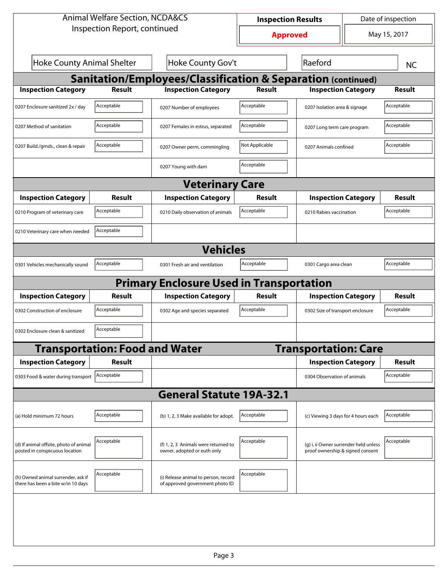| <b>Animal Welfare Section, NCDA&amp;CS</b>                               |                                       |                                                                         | <b>Inspection Results</b> |                                                                           | Date of inspection          |               |  |  |  |
|--------------------------------------------------------------------------|---------------------------------------|-------------------------------------------------------------------------|---------------------------|---------------------------------------------------------------------------|-----------------------------|---------------|--|--|--|
| Inspection Report, continued                                             |                                       |                                                                         | <b>Approved</b>           |                                                                           |                             | May 15, 2017  |  |  |  |
| <b>Hoke County Animal Shelter</b><br>Hoke County Gov't                   |                                       |                                                                         |                           | Raeford                                                                   |                             | <b>NC</b>     |  |  |  |
| <b>Sanitation/Employees/Classification &amp; Separation (continued)</b>  |                                       |                                                                         |                           |                                                                           |                             |               |  |  |  |
| <b>Inspection Category</b>                                               | <b>Result</b>                         | <b>Inspection Category</b>                                              | <b>Result</b>             | <b>Inspection Category</b>                                                |                             | <b>Result</b> |  |  |  |
| 0207 Enclosure sanitized 2x / day                                        | Acceptable                            | 0207 Number of employees                                                | Acceptable                | 0207 Isolation area & signage                                             |                             | Acceptable    |  |  |  |
| 0207 Method of sanitation                                                | Acceptable                            | 0207 Females in estrus, separated                                       | Acceptable                |                                                                           | 0207 Long term care program |               |  |  |  |
| 0207 Build./grnds., clean & repair                                       | Acceptable                            | 0207 Owner perm, commingling                                            | Not Applicable            |                                                                           | 0207 Animals confined       |               |  |  |  |
|                                                                          |                                       | 0207 Young with dam                                                     | Acceptable                |                                                                           |                             |               |  |  |  |
| <b>Veterinary Care</b>                                                   |                                       |                                                                         |                           |                                                                           |                             |               |  |  |  |
| <b>Inspection Category</b>                                               | Result                                | <b>Inspection Category</b>                                              | Result                    | <b>Inspection Category</b>                                                |                             | <b>Result</b> |  |  |  |
| 0210 Program of veterinary care                                          | Acceptable                            | 0210 Daily observation of animals                                       | Acceptable                | 0210 Rabies vaccination                                                   |                             | Acceptable    |  |  |  |
| 0210 Veterinary care when needed                                         | Acceptable                            |                                                                         |                           |                                                                           |                             |               |  |  |  |
| <b>Vehicles</b>                                                          |                                       |                                                                         |                           |                                                                           |                             |               |  |  |  |
| 0301 Vehicles mechanically sound                                         | Acceptable                            | 0301 Fresh air and ventilation                                          | Acceptable                | 0301 Cargo area clean                                                     |                             | Acceptable    |  |  |  |
|                                                                          |                                       | <b>Primary Enclosure Used in Transportation</b>                         |                           |                                                                           |                             |               |  |  |  |
| <b>Inspection Category</b>                                               | Result                                | <b>Inspection Category</b>                                              | Result                    | <b>Inspection Category</b>                                                |                             | <b>Result</b> |  |  |  |
| 0302 Construction of enclosure                                           | Acceptable                            | 0302 Age and species separated                                          | Acceptable                | 0302 Size of transport enclosure                                          |                             | Acceptable    |  |  |  |
| 0302 Enclosure clean & sanitized                                         | Acceptable                            |                                                                         |                           |                                                                           |                             |               |  |  |  |
|                                                                          | <b>Transportation: Food and Water</b> |                                                                         |                           | <b>Transportation: Care</b>                                               |                             |               |  |  |  |
| <b>Inspection Category</b>                                               | <b>Result</b>                         |                                                                         |                           | <b>Inspection Category</b>                                                |                             | <b>Result</b> |  |  |  |
| 0303 Food & water during transport                                       | Acceptable                            |                                                                         |                           | 0304 Observation of animals                                               |                             | Acceptable    |  |  |  |
|                                                                          |                                       | <b>General Statute 19A-32.1</b>                                         |                           |                                                                           |                             |               |  |  |  |
| (a) Hold minimum 72 hours                                                | Acceptable                            | (b) 1, 2, 3 Make available for adopt.                                   | Acceptable                | (c) Viewing 3 days for 4 hours each                                       |                             | Acceptable    |  |  |  |
| (d) If animal offsite, photo of animal<br>posted in conspicuous location | Acceptable                            | (f) 1, 2, 3 Animals were returned to<br>owner, adopted or euth only     | Acceptable                | (g) i, ii Owner surrender held unless<br>proof ownership & signed consent |                             | Acceptable    |  |  |  |
| (h) Owned animal surrender, ask if<br>there has been a bite w/in 10 days | Acceptable                            | (i) Release animal to person, record<br>of approved government photo ID | Acceptable                |                                                                           |                             |               |  |  |  |
|                                                                          |                                       |                                                                         |                           |                                                                           |                             |               |  |  |  |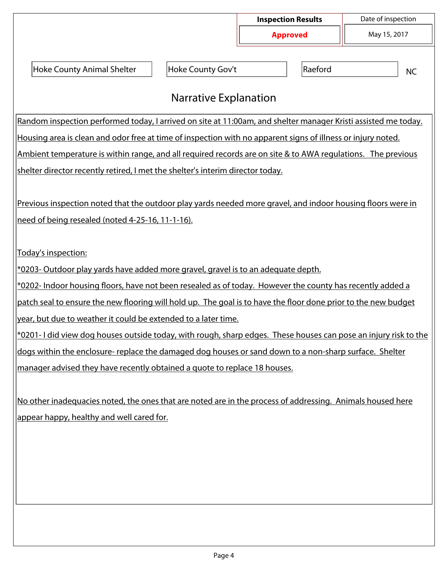|                                                                                                                                                                 |                   | <b>Inspection Results</b><br><b>Approved</b> |         | Date of inspection |  |  |  |  |
|-----------------------------------------------------------------------------------------------------------------------------------------------------------------|-------------------|----------------------------------------------|---------|--------------------|--|--|--|--|
|                                                                                                                                                                 |                   |                                              |         | May 15, 2017       |  |  |  |  |
| <b>Hoke County Animal Shelter</b>                                                                                                                               | Hoke County Gov't |                                              | Raeford | <b>NC</b>          |  |  |  |  |
| <b>Narrative Explanation</b>                                                                                                                                    |                   |                                              |         |                    |  |  |  |  |
| Random inspection performed today, I arrived on site at 11:00am, and shelter manager Kristi assisted me today.                                                  |                   |                                              |         |                    |  |  |  |  |
| Housing area is clean and odor free at time of inspection with no apparent signs of illness or injury noted.                                                    |                   |                                              |         |                    |  |  |  |  |
| Ambient temperature is within range, and all required records are on site & to AWA regulations. The previous                                                    |                   |                                              |         |                    |  |  |  |  |
| shelter director recently retired, I met the shelter's interim director today.                                                                                  |                   |                                              |         |                    |  |  |  |  |
| Previous inspection noted that the outdoor play yards needed more gravel, and indoor housing floors were in<br>need of being resealed (noted 4-25-16, 11-1-16). |                   |                                              |         |                    |  |  |  |  |
| Today's inspection:                                                                                                                                             |                   |                                              |         |                    |  |  |  |  |
| *0203- Outdoor play yards have added more gravel, gravel is to an adequate depth.                                                                               |                   |                                              |         |                    |  |  |  |  |
| *0202- Indoor housing floors, have not been resealed as of today. However the county has recently added a                                                       |                   |                                              |         |                    |  |  |  |  |
| patch seal to ensure the new flooring will hold up. The goal is to have the floor done prior to the new budget                                                  |                   |                                              |         |                    |  |  |  |  |
| year, but due to weather it could be extended to a later time.                                                                                                  |                   |                                              |         |                    |  |  |  |  |
| *0201-I did view dog houses outside today, with rough, sharp edges. These houses can pose an injury risk to the                                                 |                   |                                              |         |                    |  |  |  |  |
| dogs within the enclosure- replace the damaged dog houses or sand down to a non-sharp surface. Shelter                                                          |                   |                                              |         |                    |  |  |  |  |
| manager advised they have recently obtained a quote to replace 18 houses.                                                                                       |                   |                                              |         |                    |  |  |  |  |
| No other inadequacies noted, the ones that are noted are in the process of addressing. Animals housed here<br>appear happy, healthy and well cared for.         |                   |                                              |         |                    |  |  |  |  |
|                                                                                                                                                                 |                   |                                              |         |                    |  |  |  |  |